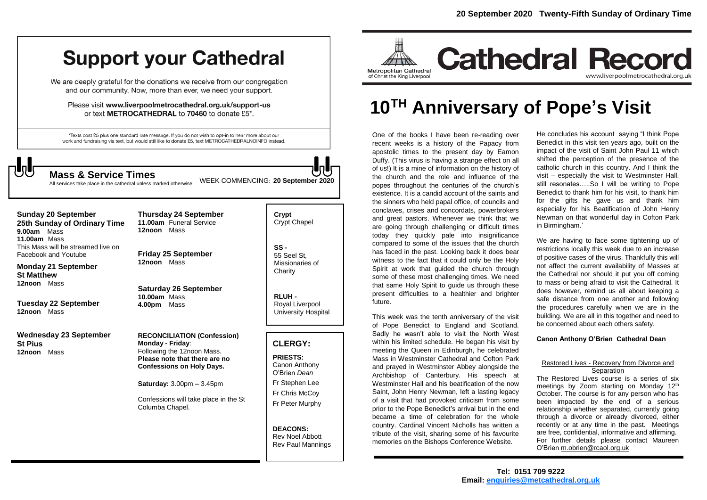## **Support your Cathedral**

We are deeply grateful for the donations we receive from our congregation and our community. Now, more than ever, we need your support.

Please visit www.liverpoolmetrocathedral.org.uk/support-us or text METROCATHEDRAL to 70460 to donate £5\*.

\*Texts cost £5 plus one standard rate message. If you do not wish to opt-in to hear more about our work and fundraising via text, but would still like to donate £5, text METROCATHEDRALNOINFO instead.



All services take place in the cathedral unless marked otherwise

WEEK COMMENCING: **<sup>20</sup> September <sup>2020</sup> Mass & Service Times**

**Sunday 20 September 25th Sunday of Ordinary Time 9.00am** Mass **11.00am** Mass This Mass will be streamed live on Facebook and Youtube

**Monday 21 September St Matthew 12noon** Mass

**Tuesday 22 September 12noon** Mass

**Wednesday 23 September St Pius 12noon** Mass

**Thursday 24 September 11.00am** Funeral Service **12noon** Mass

**Friday 25 September 12noon** Mass

**Saturday 26 September 10.00am** Mass **4.00pm** Mass

**RECONCILIATION (Confession) Monday - Friday**: Following the 12noon Mass. **Please note that there are no Confessions on Holy Days.**

**Saturday:** 3.00pm – 3.45pm

Confessions will take place in the St Columba Chapel.

**Crypt**  Crypt Chapel

**SS -** 55 Seel St, Missionaries of **Charity** 

**RLUH -** Royal Liverpool University Hospital

## **CLERGY:**

**PRIESTS:** Canon Anthony O'Brien *Dean* Fr Stephen Lee Fr Chris McCoy Fr Peter Murphy

**DEACONS:** Rev Noel Abbott Rev Paul Mannings



# **10TH Anniversary of Pope's Visit**

One of the books I have been re-reading over recent weeks is a history of the Papacy from apostolic times to the present day by Eamon Duffy. (This virus is having a strange effect on all of us!) It is a mine of information on the history of the church and the role and influence of the popes throughout the centuries of the church's existence. It is a candid account of the saints and the sinners who held papal office, of councils and conclaves, crises and concordats, powerbrokers and great pastors. Whenever we think that we are going through challenging or difficult times today they quickly pale into insignificance compared to some of the issues that the church has faced in the past. Looking back it does bear witness to the fact that it could only be the Holy Spirit at work that guided the church through some of these most challenging times. We need that same Holy Spirit to guide us through these present difficulties to a healthier and brighter future.

This week was the tenth anniversary of the visit of Pope Benedict to England and Scotland. Sadly he wasn't able to visit the North West within his limited schedule. He began his visit by meeting the Queen in Edinburgh, he celebrated Mass in Westminster Cathedral and Cofton Park and prayed in Westminster Abbey alongside the Archbishop of Canterbury. His speech at Westminster Hall and his beatification of the now Saint, John Henry Newman, left a lasting legacy of a visit that had provoked criticism from some prior to the Pope Benedict's arrival but in the end became a time of celebration for the whole country. Cardinal Vincent Nicholls has written a tribute of the visit, sharing some of his favourite memories on the Bishops Conference Website.

He concludes his account saying "I think Pope Benedict in this visit ten years ago, built on the impact of the visit of Saint John Paul 11 which shifted the perception of the presence of the catholic church in this country. And I think the visit – especially the visit to Westminster Hall, still resonates…..So I will be writing to Pope Benedict to thank him for his visit, to thank him for the gifts he gave us and thank him especially for his Beatification of John Henry Newman on that wonderful day in Cofton Park in Birmingham.'

We are having to face some tightening up of restrictions locally this week due to an increase of positive cases of the virus. Thankfully this will not affect the current availability of Masses at the Cathedral nor should it put you off coming to mass or being afraid to visit the Cathedral. It does however, remind us all about keeping a safe distance from one another and following the procedures carefully when we are in the building. We are all in this together and need to be concerned about each others safety.

### **Canon Anthony O'Brien Cathedral Dean**

#### Restored Lives - Recovery from Divorce and **Separation**

The Restored Lives course is a series of six meetings by Zoom starting on Monday 12<sup>th</sup> October. The course is for any person who has been impacted by the end of a serious relationship whether separated, currently going through a divorce or already divorced, either recently or at any time in the past. Meetings are free, confidential, informative and affirming. For further details please contact Maureen O'Brien [m.obrien@rcaol.org.uk](mailto:m.obrien@rcaol.org.uk)